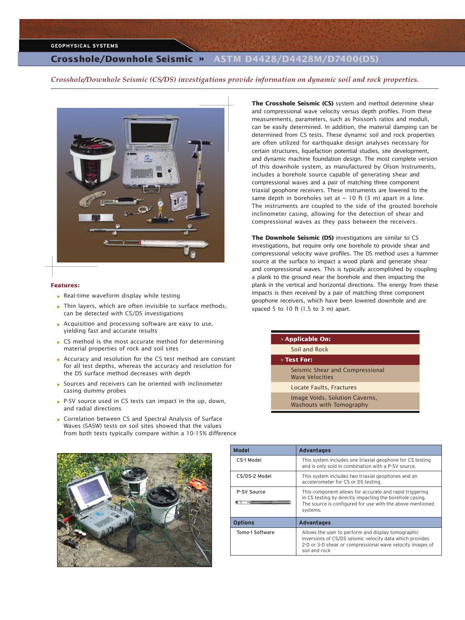### **GEOPHYSICAL SYSTEMS**

# **Crosshole/Downhole Seismic »** ASTM D4428/D4428M/D7400(DS)

*Crosshole/Downhole Seismic (CS/DS) investigations provide information on dynamic soil and rock properties.*



#### **Features:**

- Real-time waveform display while testing
- Thin layers, which are often invisible to surface methods, can be detected with CS/DS investigations
- Acquisition and processing software are easy to use, yielding fast and accurate results
- CS method is the most accurate method for determining material properties of rock and soil sites
- Accuracy and resolution for the CS test method are constant for all test depths, whereas the accuracy and resolution for the DS surface method decreases with depth
- Sources and receivers can be oriented with inclinometer casing dummy probes
- P-SV source used in CS tests can impact in the up, down, and radial directions
- Correlation between CS and Spectral Analysis of Surface Waves (SASW) tests on soil sites showed that the values from both tests typically compare within a 10-15% difference

**The Crosshole Seismic (CS)** system and method determine shear and compressional wave velocity versus depth profiles. From these measurements, parameters, such as Poisson's ratios and moduli, can be easily determined. In addition, the material damping can be determined from CS tests. These dynamic soil and rock properties are often utilized for earthquake design analyses necessary for certain structures, liquefaction potential studies, site development, and dynamic machine foundation design. The most complete version of this downhole system, as manufactured by Olson Instruments, includes a borehole source capable of generating shear and compressional waves and a pair of matching three component triaxial geophone receivers. These instruments are lowered to the same depth in boreholes set at  $\sim$  10 ft (3 m) apart in a line. The instruments are coupled to the side of the grouted borehole inclinometer casing, allowing for the detection of shear and compressional waves as they pass between the receivers.

**The Downhole Seismic (DS)** investigations are similar to CS investigations, but require only one borehole to provide shear and compressional velocity wave profiles. The DS method uses a hammer source at the surface to impact a wood plank and generate shear and compressional waves. This is typically accomplished by coupling a plank to the ground near the borehole and then impacting the plank in the vertical and horizontal directions. The energy from these impacts is then received by a pair of matching three component geophone receivers, which have been lowered downhole and are spaced 5 to 10 ft (1.5 to 3 m) apart.

| » Applicable On:                                          |
|-----------------------------------------------------------|
| Soil and Rock                                             |
| » Test For:                                               |
| Seismic Shear and Compressional<br><b>Wave Velocities</b> |
| Locate Faults, Fractures                                  |
| Image Voids, Solution Caverns,                            |

Washouts with Tomography

| Model           | <b>Advantages</b>                                                                                                                                                                            |
|-----------------|----------------------------------------------------------------------------------------------------------------------------------------------------------------------------------------------|
| CS-1 Model      | This system includes one triaxial geophone for CS testing<br>and is only sold in combination with a P-SV source.                                                                             |
| CS/DS-2 Model   | This system includes two triaxial geophones and an<br>accelerometer for CS or DS testing.                                                                                                    |
| P-SV Source     | This component allows for accurate and rapid triggering<br>in CS testing by directly impacting the borehole casing.<br>The source is configured for use with the above mentioned<br>systems. |
| <b>Options</b>  | <b>Advantages</b>                                                                                                                                                                            |
| Tomo-1 Software | Allows the user to perform and display tomographic<br>inversions of CS/DS seismic velocity data which provides<br>2-D or 3-D shear or compressional wave velocity images of<br>soil and rock |